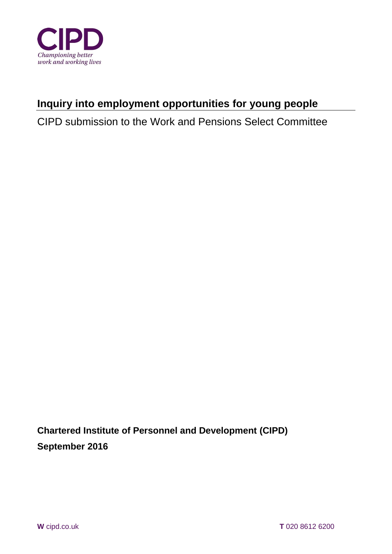

# **Inquiry into employment opportunities for young people**

CIPD submission to the Work and Pensions Select Committee

**Chartered Institute of Personnel and Development (CIPD) September 2016**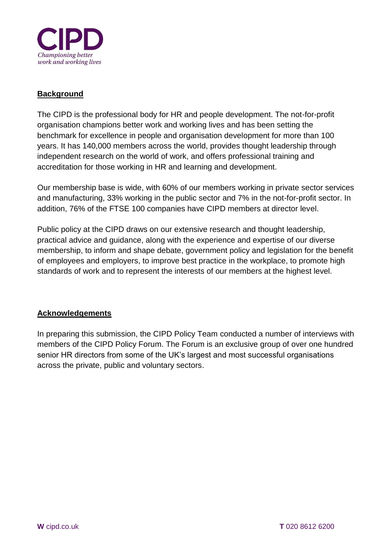

## **Background**

The CIPD is the professional body for HR and people development. The not-for-profit organisation champions better work and working lives and has been setting the benchmark for excellence in people and organisation development for more than 100 years. It has 140,000 members across the world, provides thought leadership through independent research on the world of work, and offers professional training and accreditation for those working in HR and learning and development.

Our membership base is wide, with 60% of our members working in private sector services and manufacturing, 33% working in the public sector and 7% in the not-for-profit sector. In addition, 76% of the FTSE 100 companies have CIPD members at director level.

Public policy at the CIPD draws on our extensive research and thought leadership, practical advice and guidance, along with the experience and expertise of our diverse membership, to inform and shape debate, government policy and legislation for the benefit of employees and employers, to improve best practice in the workplace, to promote high standards of work and to represent the interests of our members at the highest level.

## **Acknowledgements**

In preparing this submission, the CIPD Policy Team conducted a number of interviews with members of the CIPD Policy Forum. The Forum is an exclusive group of over one hundred senior HR directors from some of the UK's largest and most successful organisations across the private, public and voluntary sectors.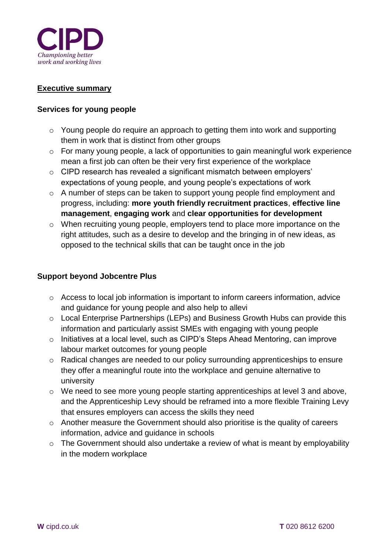

#### **Executive summary**

#### **Services for young people**

- o Young people do require an approach to getting them into work and supporting them in work that is distinct from other groups
- o For many young people, a lack of opportunities to gain meaningful work experience mean a first job can often be their very first experience of the workplace
- o CIPD research has revealed a significant mismatch between employers' expectations of young people, and young people's expectations of work
- o A number of steps can be taken to support young people find employment and progress, including: **more youth friendly recruitment practices**, **effective line management**, **engaging work** and **clear opportunities for development**
- o When recruiting young people, employers tend to place more importance on the right attitudes, such as a desire to develop and the bringing in of new ideas, as opposed to the technical skills that can be taught once in the job

#### **Support beyond Jobcentre Plus**

- o Access to local job information is important to inform careers information, advice and guidance for young people and also help to allevi
- o Local Enterprise Partnerships (LEPs) and Business Growth Hubs can provide this information and particularly assist SMEs with engaging with young people
- o Initiatives at a local level, such as CIPD's Steps Ahead Mentoring, can improve labour market outcomes for young people
- o Radical changes are needed to our policy surrounding apprenticeships to ensure they offer a meaningful route into the workplace and genuine alternative to university
- o We need to see more young people starting apprenticeships at level 3 and above, and the Apprenticeship Levy should be reframed into a more flexible Training Levy that ensures employers can access the skills they need
- o Another measure the Government should also prioritise is the quality of careers information, advice and guidance in schools
- o The Government should also undertake a review of what is meant by employability in the modern workplace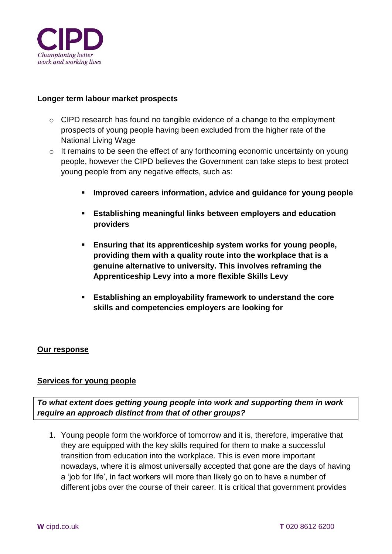

#### **Longer term labour market prospects**

- o CIPD research has found no tangible evidence of a change to the employment prospects of young people having been excluded from the higher rate of the National Living Wage
- o It remains to be seen the effect of any forthcoming economic uncertainty on young people, however the CIPD believes the Government can take steps to best protect young people from any negative effects, such as:
	- **Improved careers information, advice and guidance for young people**
	- **Establishing meaningful links between employers and education providers**
	- **Ensuring that its apprenticeship system works for young people, providing them with a quality route into the workplace that is a genuine alternative to university. This involves reframing the Apprenticeship Levy into a more flexible Skills Levy**
	- **Establishing an employability framework to understand the core skills and competencies employers are looking for**

#### **Our response**

#### **Services for young people**

*To what extent does getting young people into work and supporting them in work require an approach distinct from that of other groups?*

1. Young people form the workforce of tomorrow and it is, therefore, imperative that they are equipped with the key skills required for them to make a successful transition from education into the workplace. This is even more important nowadays, where it is almost universally accepted that gone are the days of having a 'job for life', in fact workers will more than likely go on to have a number of different jobs over the course of their career. It is critical that government provides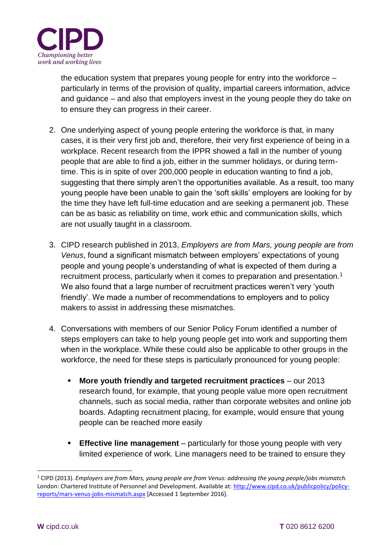

the education system that prepares young people for entry into the workforce – particularly in terms of the provision of quality, impartial careers information, advice and guidance – and also that employers invest in the young people they do take on to ensure they can progress in their career.

- 2. One underlying aspect of young people entering the workforce is that, in many cases, it is their very first job and, therefore, their very first experience of being in a workplace. Recent research from the IPPR showed a fall in the number of young people that are able to find a job, either in the summer holidays, or during termtime. This is in spite of over 200,000 people in education wanting to find a job, suggesting that there simply aren't the opportunities available. As a result, too many young people have been unable to gain the 'soft skills' employers are looking for by the time they have left full-time education and are seeking a permanent job. These can be as basic as reliability on time, work ethic and communication skills, which are not usually taught in a classroom.
- 3. CIPD research published in 2013, *Employers are from Mars, young people are from Venus*, found a significant mismatch between employers' expectations of young people and young people's understanding of what is expected of them during a recruitment process, particularly when it comes to preparation and presentation.<sup>1</sup> We also found that a large number of recruitment practices weren't very 'youth friendly'. We made a number of recommendations to employers and to policy makers to assist in addressing these mismatches.
- 4. Conversations with members of our Senior Policy Forum identified a number of steps employers can take to help young people get into work and supporting them when in the workplace. While these could also be applicable to other groups in the workforce, the need for these steps is particularly pronounced for young people:
	- **More youth friendly and targeted recruitment practices** our 2013 research found, for example, that young people value more open recruitment channels, such as social media, rather than corporate websites and online job boards. Adapting recruitment placing, for example, would ensure that young people can be reached more easily
	- **Effective line management** particularly for those young people with very limited experience of work. Line managers need to be trained to ensure they

<sup>1</sup> CIPD (2013). *Employers are from Mars, young people are from Venus: addressing the young people/jobs mismatch.*  London: Chartered Institute of Personnel and Development. Available at: [http://www.cipd.co.uk/publicpolicy/policy](http://www.cipd.co.uk/publicpolicy/policy-reports/mars-venus-jobs-mismatch.aspx)[reports/mars-venus-jobs-mismatch.aspx](http://www.cipd.co.uk/publicpolicy/policy-reports/mars-venus-jobs-mismatch.aspx) [Accessed 1 September 2016].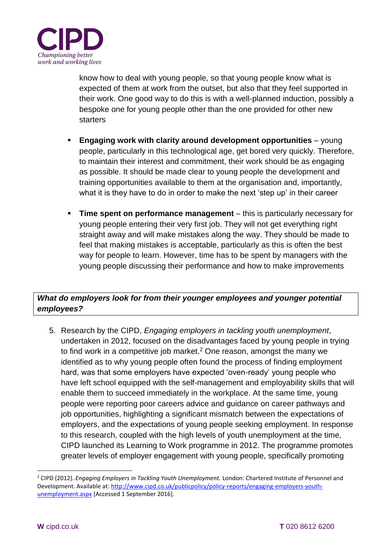

know how to deal with young people, so that young people know what is expected of them at work from the outset, but also that they feel supported in their work. One good way to do this is with a well-planned induction, possibly a bespoke one for young people other than the one provided for other new **starters** 

- **Engaging work with clarity around development opportunities** young people, particularly in this technological age, get bored very quickly. Therefore, to maintain their interest and commitment, their work should be as engaging as possible. It should be made clear to young people the development and training opportunities available to them at the organisation and, importantly, what it is they have to do in order to make the next 'step up' in their career
- **Time spent on performance management** this is particularly necessary for young people entering their very first job. They will not get everything right straight away and will make mistakes along the way. They should be made to feel that making mistakes is acceptable, particularly as this is often the best way for people to learn. However, time has to be spent by managers with the young people discussing their performance and how to make improvements

# *What do employers look for from their younger employees and younger potential employees?*

5. Research by the CIPD, *Engaging employers in tackling youth unemployment*, undertaken in 2012, focused on the disadvantages faced by young people in trying to find work in a competitive job market.<sup>2</sup> One reason, amongst the many we identified as to why young people often found the process of finding employment hard, was that some employers have expected 'oven-ready' young people who have left school equipped with the self-management and employability skills that will enable them to succeed immediately in the workplace. At the same time, young people were reporting poor careers advice and guidance on career pathways and job opportunities, highlighting a significant mismatch between the expectations of employers, and the expectations of young people seeking employment. In response to this research, coupled with the high levels of youth unemployment at the time, CIPD launched its Learning to Work programme in 2012. The programme promotes greater levels of employer engagement with young people, specifically promoting

<sup>2</sup> CIPD (2012). *Engaging Employers in Tackling Youth Unemployment.* London: Chartered Institute of Personnel and Development. Available at: [http://www.cipd.co.uk/publicpolicy/policy-reports/engaging-employers-youth](http://www.cipd.co.uk/publicpolicy/policy-reports/engaging-employers-youth-unemployment.aspx)[unemployment.aspx](http://www.cipd.co.uk/publicpolicy/policy-reports/engaging-employers-youth-unemployment.aspx) [Accessed 1 September 2016].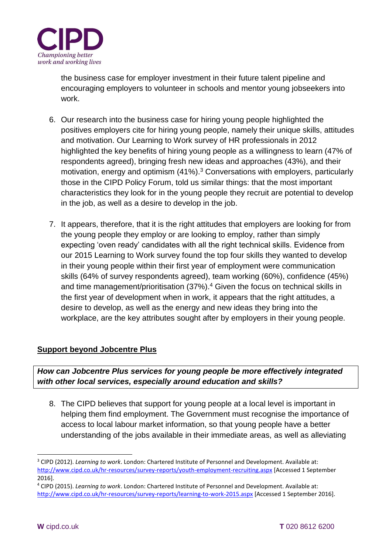

the business case for employer investment in their future talent pipeline and encouraging employers to volunteer in schools and mentor young jobseekers into work.

- 6. Our research into the business case for hiring young people highlighted the positives employers cite for hiring young people, namely their unique skills, attitudes and motivation. Our Learning to Work survey of HR professionals in 2012 highlighted the key benefits of hiring young people as a willingness to learn (47% of respondents agreed), bringing fresh new ideas and approaches (43%), and their motivation, energy and optimism (41%).<sup>3</sup> Conversations with employers, particularly those in the CIPD Policy Forum, told us similar things: that the most important characteristics they look for in the young people they recruit are potential to develop in the job, as well as a desire to develop in the job.
- 7. It appears, therefore, that it is the right attitudes that employers are looking for from the young people they employ or are looking to employ, rather than simply expecting 'oven ready' candidates with all the right technical skills. Evidence from our 2015 Learning to Work survey found the top four skills they wanted to develop in their young people within their first year of employment were communication skills (64% of survey respondents agreed), team working (60%), confidence (45%) and time management/prioritisation (37%).<sup>4</sup> Given the focus on technical skills in the first year of development when in work, it appears that the right attitudes, a desire to develop, as well as the energy and new ideas they bring into the workplace, are the key attributes sought after by employers in their young people.

## **Support beyond Jobcentre Plus**

*How can Jobcentre Plus services for young people be more effectively integrated with other local services, especially around education and skills?*

8. The CIPD believes that support for young people at a local level is important in helping them find employment. The Government must recognise the importance of access to local labour market information, so that young people have a better understanding of the jobs available in their immediate areas, as well as alleviating

<sup>3</sup> CIPD (2012). *Learning to work*. London: Chartered Institute of Personnel and Development. Available at: <http://www.cipd.co.uk/hr-resources/survey-reports/youth-employment-recruiting.aspx> [Accessed 1 September 2016].

<sup>4</sup> CIPD (2015). *Learning to work*. London: Chartered Institute of Personnel and Development. Available at: <http://www.cipd.co.uk/hr-resources/survey-reports/learning-to-work-2015.aspx> [Accessed 1 September 2016].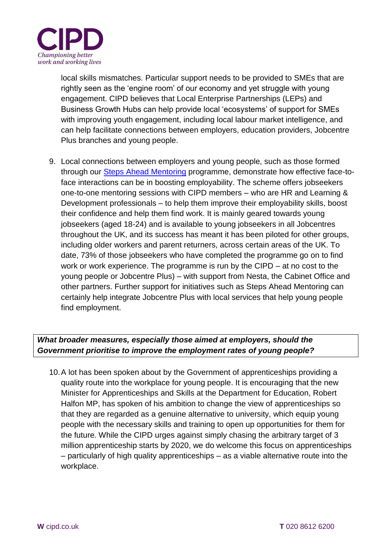

local skills mismatches. Particular support needs to be provided to SMEs that are rightly seen as the 'engine room' of our economy and yet struggle with young engagement. CIPD believes that Local Enterprise Partnerships (LEPs) and Business Growth Hubs can help provide local 'ecosystems' of support for SMEs with improving youth engagement, including local labour market intelligence, and can help facilitate connections between employers, education providers, Jobcentre Plus branches and young people.

9. Local connections between employers and young people, such as those formed through our [Steps Ahead Mentoring](http://www.cipd.co.uk/publicpolicy/steps-ahead-mentoring/) programme, demonstrate how effective face-toface interactions can be in boosting employability. The scheme offers jobseekers one-to-one mentoring sessions with CIPD members – who are HR and Learning & Development professionals – to help them improve their employability skills, boost their confidence and help them find work. It is mainly geared towards young jobseekers (aged 18-24) and is available to young jobseekers in all Jobcentres throughout the UK, and its success has meant it has been piloted for other groups, including older workers and parent returners, across certain areas of the UK. To date, 73% of those jobseekers who have completed the programme go on to find work or work experience. The programme is run by the CIPD – at no cost to the young people or Jobcentre Plus) – with support from Nesta, the Cabinet Office and other partners. Further support for initiatives such as Steps Ahead Mentoring can certainly help integrate Jobcentre Plus with local services that help young people find employment.

## *What broader measures, especially those aimed at employers, should the Government prioritise to improve the employment rates of young people?*

10.A lot has been spoken about by the Government of apprenticeships providing a quality route into the workplace for young people. It is encouraging that the new Minister for Apprenticeships and Skills at the Department for Education, Robert Halfon MP, has spoken of his ambition to change the view of apprenticeships so that they are regarded as a genuine alternative to university, which equip young people with the necessary skills and training to open up opportunities for them for the future. While the CIPD urges against simply chasing the arbitrary target of 3 million apprenticeship starts by 2020, we do welcome this focus on apprenticeships – particularly of high quality apprenticeships – as a viable alternative route into the workplace.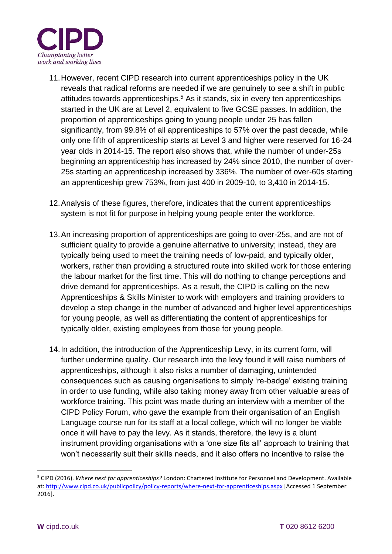

- 11.However, recent CIPD research into current apprenticeships policy in the UK reveals that radical reforms are needed if we are genuinely to see a shift in public attitudes towards apprenticeships.<sup>5</sup> As it stands, six in every ten apprenticeships started in the UK are at Level 2, equivalent to five GCSE passes. In addition, the proportion of apprenticeships going to young people under 25 has fallen significantly, from 99.8% of all apprenticeships to 57% over the past decade, while only one fifth of apprenticeship starts at Level 3 and higher were reserved for 16-24 year olds in 2014-15. The report also shows that, while the number of under-25s beginning an apprenticeship has increased by 24% since 2010, the number of over-25s starting an apprenticeship increased by 336%. The number of over-60s starting an apprenticeship grew 753%, from just 400 in 2009-10, to 3,410 in 2014-15.
- 12.Analysis of these figures, therefore, indicates that the current apprenticeships system is not fit for purpose in helping young people enter the workforce.
- 13.An increasing proportion of apprenticeships are going to over-25s, and are not of sufficient quality to provide a genuine alternative to university; instead, they are typically being used to meet the training needs of low-paid, and typically older, workers, rather than providing a structured route into skilled work for those entering the labour market for the first time. This will do nothing to change perceptions and drive demand for apprenticeships. As a result, the CIPD is calling on the new Apprenticeships & Skills Minister to work with employers and training providers to develop a step change in the number of advanced and higher level apprenticeships for young people, as well as differentiating the content of apprenticeships for typically older, existing employees from those for young people.
- 14.In addition, the introduction of the Apprenticeship Levy, in its current form, will further undermine quality. Our research into the levy found it will raise numbers of apprenticeships, although it also risks a number of damaging, unintended consequences such as causing organisations to simply 're-badge' existing training in order to use funding, while also taking money away from other valuable areas of workforce training. This point was made during an interview with a member of the CIPD Policy Forum, who gave the example from their organisation of an English Language course run for its staff at a local college, which will no longer be viable once it will have to pay the levy. As it stands, therefore, the levy is a blunt instrument providing organisations with a 'one size fits all' approach to training that won't necessarily suit their skills needs, and it also offers no incentive to raise the

<sup>5</sup> CIPD (2016). *Where next for apprenticeships?* London: Chartered Institute for Personnel and Development. Available at:<http://www.cipd.co.uk/publicpolicy/policy-reports/where-next-for-apprenticeships.aspx> [Accessed 1 September 2016].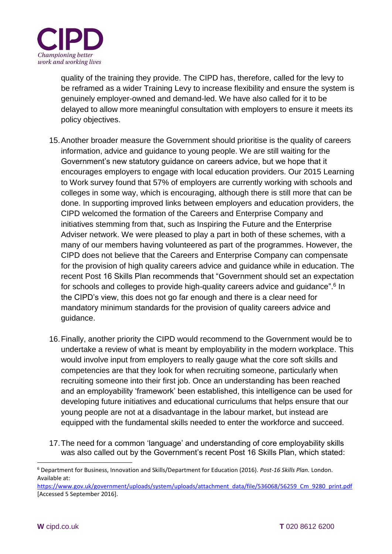

quality of the training they provide. The CIPD has, therefore, called for the levy to be reframed as a wider Training Levy to increase flexibility and ensure the system is genuinely employer-owned and demand-led. We have also called for it to be delayed to allow more meaningful consultation with employers to ensure it meets its policy objectives.

- 15.Another broader measure the Government should prioritise is the quality of careers information, advice and guidance to young people. We are still waiting for the Government's new statutory guidance on careers advice, but we hope that it encourages employers to engage with local education providers. Our 2015 Learning to Work survey found that 57% of employers are currently working with schools and colleges in some way, which is encouraging, although there is still more that can be done. In supporting improved links between employers and education providers, the CIPD welcomed the formation of the Careers and Enterprise Company and initiatives stemming from that, such as Inspiring the Future and the Enterprise Adviser network. We were pleased to play a part in both of these schemes, with a many of our members having volunteered as part of the programmes. However, the CIPD does not believe that the Careers and Enterprise Company can compensate for the provision of high quality careers advice and guidance while in education. The recent Post 16 Skills Plan recommends that "Government should set an expectation for schools and colleges to provide high-quality careers advice and guidance".<sup>6</sup> In the CIPD's view, this does not go far enough and there is a clear need for mandatory minimum standards for the provision of quality careers advice and guidance.
- 16.Finally, another priority the CIPD would recommend to the Government would be to undertake a review of what is meant by employability in the modern workplace. This would involve input from employers to really gauge what the core soft skills and competencies are that they look for when recruiting someone, particularly when recruiting someone into their first job. Once an understanding has been reached and an employability 'framework' been established, this intelligence can be used for developing future initiatives and educational curriculums that helps ensure that our young people are not at a disadvantage in the labour market, but instead are equipped with the fundamental skills needed to enter the workforce and succeed.
- 17.The need for a common 'language' and understanding of core employability skills was also called out by the Government's recent Post 16 Skills Plan, which stated:

<sup>6</sup> Department for Business, Innovation and Skills/Department for Education (2016). *Post-16 Skills Plan.* London. Available at:

[https://www.gov.uk/government/uploads/system/uploads/attachment\\_data/file/536068/56259\\_Cm\\_9280\\_print.pdf](https://www.gov.uk/government/uploads/system/uploads/attachment_data/file/536068/56259_Cm_9280_print.pdf) [Accessed 5 September 2016].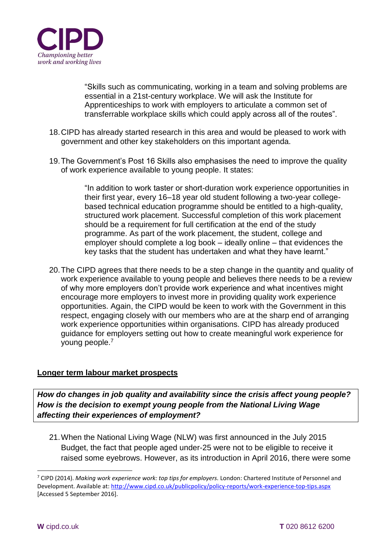

"Skills such as communicating, working in a team and solving problems are essential in a 21st-century workplace. We will ask the Institute for Apprenticeships to work with employers to articulate a common set of transferrable workplace skills which could apply across all of the routes".

- 18.CIPD has already started research in this area and would be pleased to work with government and other key stakeholders on this important agenda.
- 19.The Government's Post 16 Skills also emphasises the need to improve the quality of work experience available to young people. It states:

"In addition to work taster or short-duration work experience opportunities in their first year, every 16–18 year old student following a two-year collegebased technical education programme should be entitled to a high-quality, structured work placement. Successful completion of this work placement should be a requirement for full certification at the end of the study programme. As part of the work placement, the student, college and employer should complete a log book – ideally online – that evidences the key tasks that the student has undertaken and what they have learnt."

20.The CIPD agrees that there needs to be a step change in the quantity and quality of work experience available to young people and believes there needs to be a review of why more employers don't provide work experience and what incentives might encourage more employers to invest more in providing quality work experience opportunities. Again, the CIPD would be keen to work with the Government in this respect, engaging closely with our members who are at the sharp end of arranging work experience opportunities within organisations. CIPD has already produced guidance for employers setting out how to create meaningful work experience for young people.<sup>7</sup>

#### **Longer term labour market prospects**

*How do changes in job quality and availability since the crisis affect young people? How is the decision to exempt young people from the National Living Wage affecting their experiences of employment?*

21.When the National Living Wage (NLW) was first announced in the July 2015 Budget, the fact that people aged under-25 were not to be eligible to receive it raised some eyebrows. However, as its introduction in April 2016, there were some

<sup>7</sup> CIPD (2014). *Making work experience work: top tips for employers.* London: Chartered Institute of Personnel and Development. Available at:<http://www.cipd.co.uk/publicpolicy/policy-reports/work-experience-top-tips.aspx> [Accessed 5 September 2016].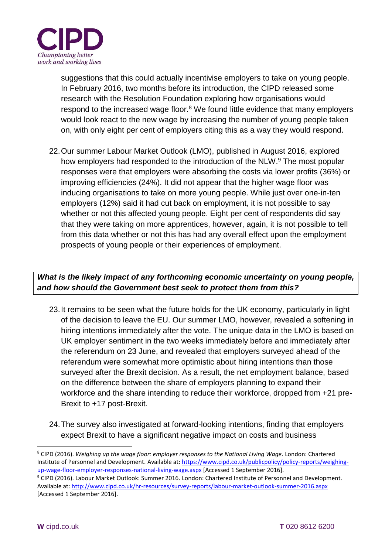

suggestions that this could actually incentivise employers to take on young people. In February 2016, two months before its introduction, the CIPD released some research with the Resolution Foundation exploring how organisations would respond to the increased wage floor.<sup>8</sup> We found little evidence that many employers would look react to the new wage by increasing the number of young people taken on, with only eight per cent of employers citing this as a way they would respond.

22.Our summer Labour Market Outlook (LMO), published in August 2016, explored how employers had responded to the introduction of the NLW.<sup>9</sup> The most popular responses were that employers were absorbing the costs via lower profits (36%) or improving efficiencies (24%). It did not appear that the higher wage floor was inducing organisations to take on more young people. While just over one-in-ten employers (12%) said it had cut back on employment, it is not possible to say whether or not this affected young people. Eight per cent of respondents did say that they were taking on more apprentices, however, again, it is not possible to tell from this data whether or not this has had any overall effect upon the employment prospects of young people or their experiences of employment.

# *What is the likely impact of any forthcoming economic uncertainty on young people, and how should the Government best seek to protect them from this?*

- 23.It remains to be seen what the future holds for the UK economy, particularly in light of the decision to leave the EU. Our summer LMO, however, revealed a softening in hiring intentions immediately after the vote. The unique data in the LMO is based on UK employer sentiment in the two weeks immediately before and immediately after the referendum on 23 June, and revealed that employers surveyed ahead of the referendum were somewhat more optimistic about hiring intentions than those surveyed after the Brexit decision. As a result, the net employment balance, based on the difference between the share of employers planning to expand their workforce and the share intending to reduce their workforce, dropped from +21 pre-Brexit to +17 post-Brexit.
- 24.The survey also investigated at forward-looking intentions, finding that employers expect Brexit to have a significant negative impact on costs and business

<sup>8</sup> CIPD (2016). *Weighing up the wage floor: employer responses to the National Living Wage*. London: Chartered Institute of Personnel and Development. Available at: [https://www.cipd.co.uk/publicpolicy/policy-reports/weighing](https://www.cipd.co.uk/publicpolicy/policy-reports/weighing-up-wage-floor-employer-responses-national-living-wage.aspx)[up-wage-floor-employer-responses-national-living-wage.aspx](https://www.cipd.co.uk/publicpolicy/policy-reports/weighing-up-wage-floor-employer-responses-national-living-wage.aspx) [Accessed 1 September 2016].

<sup>9</sup> CIPD (2016). Labour Market Outlook: Summer 2016. London: Chartered Institute of Personnel and Development. Available at:<http://www.cipd.co.uk/hr-resources/survey-reports/labour-market-outlook-summer-2016.aspx> [Accessed 1 September 2016].